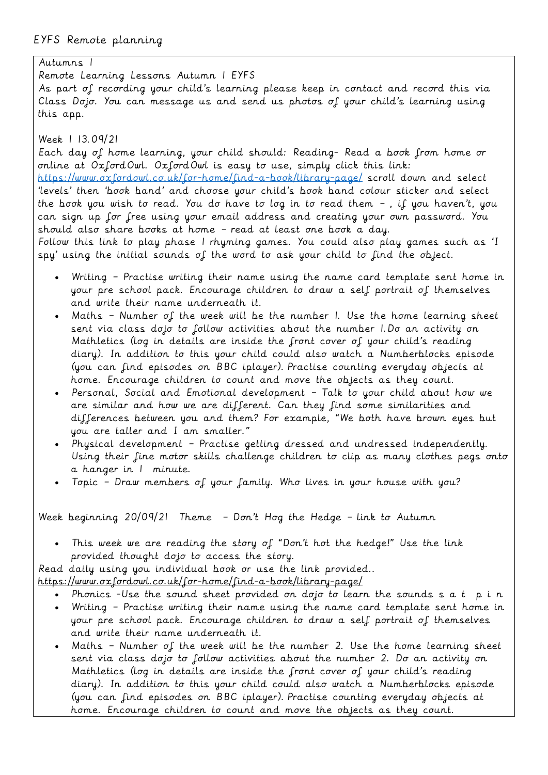Autumns 1 Remote Learning Lessons Autumn 1 EYFS As part of recording your child's learning please keep in contact and record this via Class Dojo. You can message us and send us photos of your child's learning using this app.

Week 1 13.09/21

Each day of home learning, your child should: Reading- Read a book from home or online at OxfordOwl. OxfordOwl is easy to use, simply click this link: <https://www.oxfordowl.co.uk/for-home/find-a-book/library-page/> scroll down and select 'levels' then 'book band' and choose your child's book band colour sticker and select the book you wish to read. You do have to log in to read them – , if you haven't, you can sign up for free using your email address and creating your own password. You should also share books at home – read at least one book a day. Follow this link to play phase 1 rhyming games. You could also play games such as 'I

spy' using the initial sounds of the word to ask your child to find the object.

- Writing Practise writing their name using the name card template sent home in your pre school pack. Encourage children to draw a self portrait of themselves and write their name underneath it.
- Maths Number of the week will be the number 1. Use the home learning sheet sent via class dojo to follow activities about the number 1.Do an activity on Mathletics (log in details are inside the front cover of your child's reading diary). In addition to this your child could also watch a Numberblocks episode (you can find episodes on BBC iplayer). Practise counting everyday objects at home. Encourage children to count and move the objects as they count.
- Personal, Social and Emotional development Talk to your child about how we are similar and how we are different. Can they find some similarities and differences between you and them? For example, "We both have brown eyes but you are taller and I am smaller."
- Physical development Practise getting dressed and undressed independently. Using their fine motor skills challenge children to clip as many clothes pegs onto a hanger in 1 minute.
- Topic Draw members of your family. Who lives in your house with you?

Week beginning 20/09/21 Theme – Don't Hog the Hedge – link to Autumn

• This week we are reading the story of "Don't hot the hedge!" Use the link provided thought dojo to access the story.

Read daily using you individual book or use the link provided..

- <https://www.oxfordowl.co.uk/for-home/find-a-book/library-page/>
	- Phonics -Use the sound sheet provided on dojo to learn the sounds  $s$  a t  $p$  i n
	- Writing Practise writing their name using the name card template sent home in your pre school pack. Encourage children to draw a self portrait of themselves and write their name underneath it.
	- Maths Number of the week will be the number 2. Use the home learning sheet sent via class dojo to follow activities about the number 2. Do an activity on Mathletics (log in details are inside the front cover of your child's reading diary). In addition to this your child could also watch a Numberblocks episode (you can find episodes on BBC iplayer). Practise counting everyday objects at home. Encourage children to count and move the objects as they count.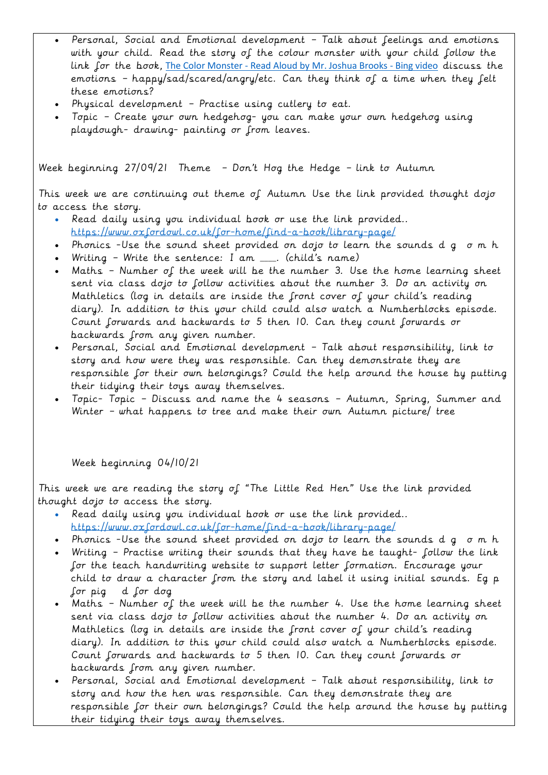- Personal, Social and Emotional development Talk about feelings and emotions with your child. Read the story of the colour monster with your child follow the link for the book, The Color Monster - [Read Aloud by Mr. Joshua Brooks -](https://www.bing.com/videos/search?q=colour+monster+youtube&qpvt=colour+monster+youtube&view=detail&mid=E998F8E16E3596F17EA2E998F8E16E3596F17EA2&&FORM=VRDGAR&ru=%2Fvideos%2Fsearch%3Fq%3Dcolour%2Bmonster%2Byoutube%26qpvt%3Dcolour%2Bmonster%2Byoutube%26FORM%3DVDRE) Bing video discuss the emotions – happy/sad/scared/angry/etc. Can they think of a time when they felt these emotions?
- Physical development Practise using cutlery to eat.
- Topic Create your own hedgehog- you can make your own hedgehog using playdough- drawing- painting or from leaves.

Week beginning 27/09/21 Theme – Don't Hog the Hedge – link to Autumn

This week we are continuing out theme of Autumn Use the link provided thought dojo to access the story.

- Read daily using you individual book or use the link provided.. <https://www.oxfordowl.co.uk/for-home/find-a-book/library-page/>
- Phonics -Use the sound sheet provided on dojo to learn the sounds d g o m h
- Writing Write the sentence: I am \_\_\_\_. (child's name)
- Maths Number of the week will be the number 3. Use the home learning sheet sent via class dojo to follow activities about the number 3. Do an activity on Mathletics (log in details are inside the front cover of your child's reading diary). In addition to this your child could also watch a Numberblocks episode. Count forwards and backwards to 5 then 10. Can they count forwards or backwards from any given number.
- Personal, Social and Emotional development Talk about responsibility, link to story and how were they was responsible. Can they demonstrate they are responsible for their own belongings? Could the help around the house by putting their tidying their toys away themselves.
- Topic- Topic Discuss and name the 4 seasons Autumn, Spring, Summer and Winter – what happens to tree and make their own Autumn picture/ tree

Week beginning 04/10/21

This week we are reading the story of "The Little Red Hen" Use the link provided thought dojo to access the story.

- Read daily using you individual book or use the link provided.. <https://www.oxfordowl.co.uk/for-home/find-a-book/library-page/>
- Phonics -Use the sound sheet provided on dojo to learn the sounds d g o m h
- Writing Practise writing their sounds that they have be taught- follow the link for the teach handwriting website to support letter formation. Encourage your child to draw a character from the story and label it using initial sounds. Eg p for pig d for dog
- Maths Number of the week will be the number 4. Use the home learning sheet sent via class dojo to follow activities about the number 4. Do an activity on Mathletics (log in details are inside the front cover of your child's reading diary). In addition to this your child could also watch a Numberblocks episode. Count forwards and backwards to 5 then 10. Can they count forwards or backwards from any given number.
- Personal, Social and Emotional development Talk about responsibility, link to story and how the hen was responsible. Can they demonstrate they are responsible for their own belongings? Could the help around the house by putting their tidying their toys away themselves.